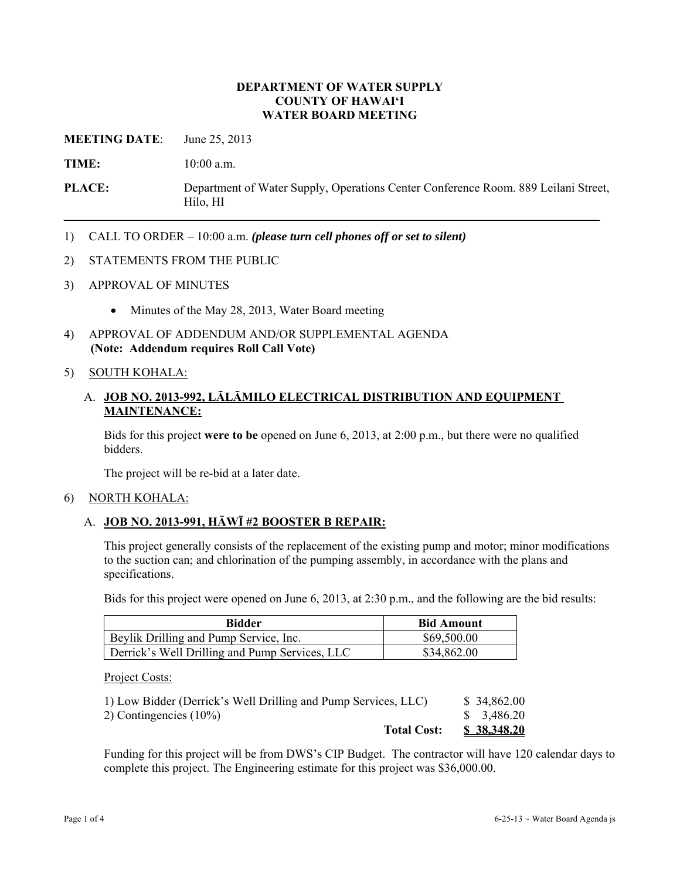### **DEPARTMENT OF WATER SUPPLY COUNTY OF HAWAI'I WATER BOARD MEETING**

**MEETING DATE**: June 25, 2013

**TIME:** 10:00 a.m.

**PLACE:** Department of Water Supply, Operations Center Conference Room. 889 Leilani Street, Hilo, HI

- 1) CALL TO ORDER 10:00 a.m. *(please turn cell phones off or set to silent)*
- 2) STATEMENTS FROM THE PUBLIC
- 3) APPROVAL OF MINUTES
	- Minutes of the May 28, 2013, Water Board meeting
- 4) APPROVAL OF ADDENDUM AND/OR SUPPLEMENTAL AGENDA **(Note: Addendum requires Roll Call Vote)**

### 5) SOUTH KOHALA:

## A. **JOB NO. 2013-992, LĀLĀMILO ELECTRICAL DISTRIBUTION AND EQUIPMENT MAINTENANCE:**

Bids for this project **were to be** opened on June 6, 2013, at 2:00 p.m., but there were no qualified bidders.

The project will be re-bid at a later date.

#### 6) NORTH KOHALA:

### A. **JOB NO. 2013-991, HĀWĪ #2 BOOSTER B REPAIR:**

This project generally consists of the replacement of the existing pump and motor; minor modifications to the suction can; and chlorination of the pumping assembly, in accordance with the plans and specifications.

Bids for this project were opened on June 6, 2013, at 2:30 p.m., and the following are the bid results:

| <b>Bidder</b>                                  | <b>Bid Amount</b> |
|------------------------------------------------|-------------------|
| Beylik Drilling and Pump Service, Inc.         | \$69,500.00       |
| Derrick's Well Drilling and Pump Services, LLC | \$34,862.00       |

Project Costs:

| <b>Total Cost:</b>                                             | \$38,348.20 |
|----------------------------------------------------------------|-------------|
| 2) Contingencies $(10\%)$                                      | \$3,486.20  |
| 1) Low Bidder (Derrick's Well Drilling and Pump Services, LLC) | \$34,862.00 |

Funding for this project will be from DWS's CIP Budget. The contractor will have 120 calendar days to complete this project. The Engineering estimate for this project was \$36,000.00.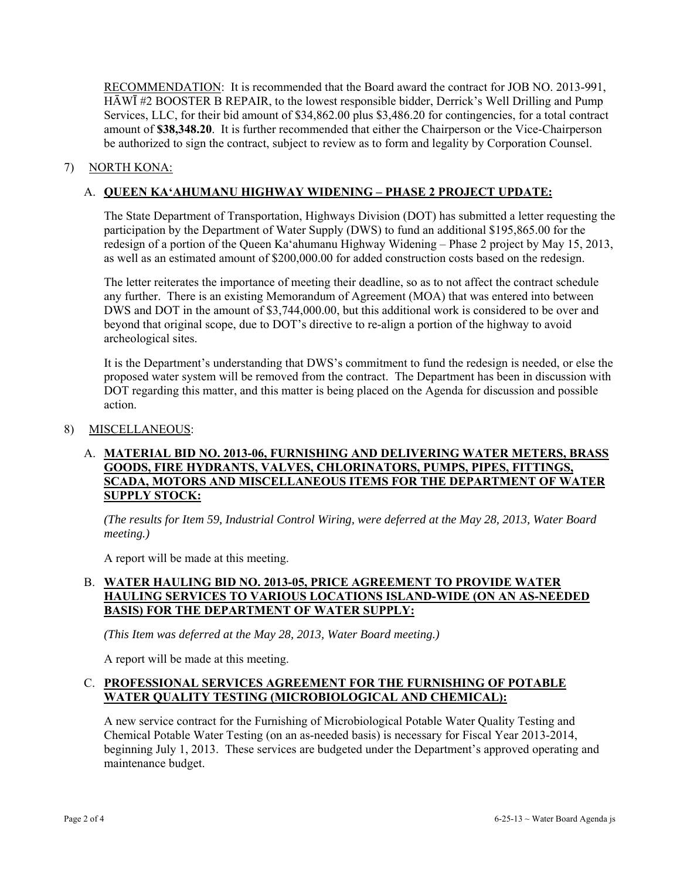RECOMMENDATION: It is recommended that the Board award the contract for JOB NO. 2013-991, HĀWĪ #2 BOOSTER B REPAIR, to the lowest responsible bidder, Derrick's Well Drilling and Pump Services, LLC, for their bid amount of \$34,862.00 plus \$3,486.20 for contingencies, for a total contract amount of **\$38,348.20**. It is further recommended that either the Chairperson or the Vice-Chairperson be authorized to sign the contract, subject to review as to form and legality by Corporation Counsel.

## 7) NORTH KONA:

## A. **QUEEN KA'AHUMANU HIGHWAY WIDENING – PHASE 2 PROJECT UPDATE:**

The State Department of Transportation, Highways Division (DOT) has submitted a letter requesting the participation by the Department of Water Supply (DWS) to fund an additional \$195,865.00 for the redesign of a portion of the Queen Ka'ahumanu Highway Widening – Phase 2 project by May 15, 2013, as well as an estimated amount of \$200,000.00 for added construction costs based on the redesign.

The letter reiterates the importance of meeting their deadline, so as to not affect the contract schedule any further. There is an existing Memorandum of Agreement (MOA) that was entered into between DWS and DOT in the amount of \$3,744,000.00, but this additional work is considered to be over and beyond that original scope, due to DOT's directive to re-align a portion of the highway to avoid archeological sites.

It is the Department's understanding that DWS's commitment to fund the redesign is needed, or else the proposed water system will be removed from the contract. The Department has been in discussion with DOT regarding this matter, and this matter is being placed on the Agenda for discussion and possible action.

### 8) MISCELLANEOUS:

### A. **MATERIAL BID NO. 2013-06, FURNISHING AND DELIVERING WATER METERS, BRASS GOODS, FIRE HYDRANTS, VALVES, CHLORINATORS, PUMPS, PIPES, FITTINGS, SCADA, MOTORS AND MISCELLANEOUS ITEMS FOR THE DEPARTMENT OF WATER SUPPLY STOCK:**

*(The results for Item 59, Industrial Control Wiring, were deferred at the May 28, 2013, Water Board meeting.)* 

A report will be made at this meeting.

## B. **WATER HAULING BID NO. 2013-05, PRICE AGREEMENT TO PROVIDE WATER HAULING SERVICES TO VARIOUS LOCATIONS ISLAND-WIDE (ON AN AS-NEEDED BASIS) FOR THE DEPARTMENT OF WATER SUPPLY:**

*(This Item was deferred at the May 28, 2013, Water Board meeting.)* 

A report will be made at this meeting.

### C. **PROFESSIONAL SERVICES AGREEMENT FOR THE FURNISHING OF POTABLE WATER QUALITY TESTING (MICROBIOLOGICAL AND CHEMICAL):**

A new service contract for the Furnishing of Microbiological Potable Water Quality Testing and Chemical Potable Water Testing (on an as-needed basis) is necessary for Fiscal Year 2013-2014, beginning July 1, 2013. These services are budgeted under the Department's approved operating and maintenance budget.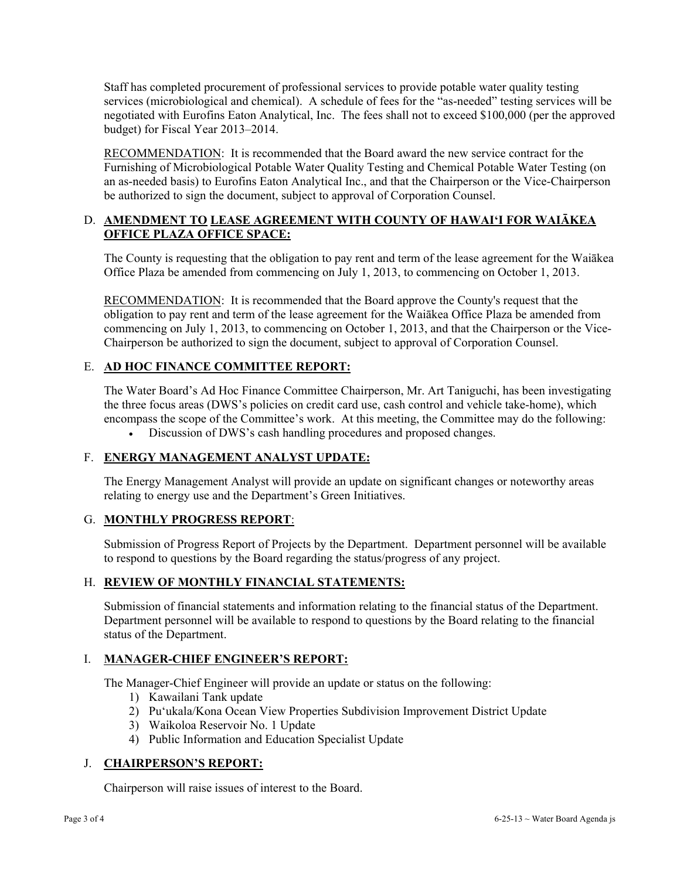Staff has completed procurement of professional services to provide potable water quality testing services (microbiological and chemical). A schedule of fees for the "as-needed" testing services will be negotiated with Eurofins Eaton Analytical, Inc. The fees shall not to exceed \$100,000 (per the approved budget) for Fiscal Year 2013–2014.

RECOMMENDATION: It is recommended that the Board award the new service contract for the Furnishing of Microbiological Potable Water Quality Testing and Chemical Potable Water Testing (on an as-needed basis) to Eurofins Eaton Analytical Inc., and that the Chairperson or the Vice-Chairperson be authorized to sign the document, subject to approval of Corporation Counsel.

# D. **AMENDMENT TO LEASE AGREEMENT WITH COUNTY OF HAWAI'I FOR WAIĀKEA OFFICE PLAZA OFFICE SPACE:**

The County is requesting that the obligation to pay rent and term of the lease agreement for the Waiākea Office Plaza be amended from commencing on July 1, 2013, to commencing on October 1, 2013.

RECOMMENDATION: It is recommended that the Board approve the County's request that the obligation to pay rent and term of the lease agreement for the Waiākea Office Plaza be amended from commencing on July 1, 2013, to commencing on October 1, 2013, and that the Chairperson or the Vice-Chairperson be authorized to sign the document, subject to approval of Corporation Counsel.

# E. **AD HOC FINANCE COMMITTEE REPORT:**

The Water Board's Ad Hoc Finance Committee Chairperson, Mr. Art Taniguchi, has been investigating the three focus areas (DWS's policies on credit card use, cash control and vehicle take-home), which encompass the scope of the Committee's work. At this meeting, the Committee may do the following:

Discussion of DWS's cash handling procedures and proposed changes.

# F. **ENERGY MANAGEMENT ANALYST UPDATE:**

The Energy Management Analyst will provide an update on significant changes or noteworthy areas relating to energy use and the Department's Green Initiatives.

### G. **MONTHLY PROGRESS REPORT**:

Submission of Progress Report of Projects by the Department. Department personnel will be available to respond to questions by the Board regarding the status/progress of any project.

# H. **REVIEW OF MONTHLY FINANCIAL STATEMENTS:**

Submission of financial statements and information relating to the financial status of the Department. Department personnel will be available to respond to questions by the Board relating to the financial status of the Department.

### I. **MANAGER-CHIEF ENGINEER'S REPORT:**

The Manager-Chief Engineer will provide an update or status on the following:

- 1) Kawailani Tank update
- 2) Pu'ukala/Kona Ocean View Properties Subdivision Improvement District Update
- 3) Waikoloa Reservoir No. 1 Update
- 4) Public Information and Education Specialist Update

# J. **CHAIRPERSON'S REPORT:**

Chairperson will raise issues of interest to the Board.